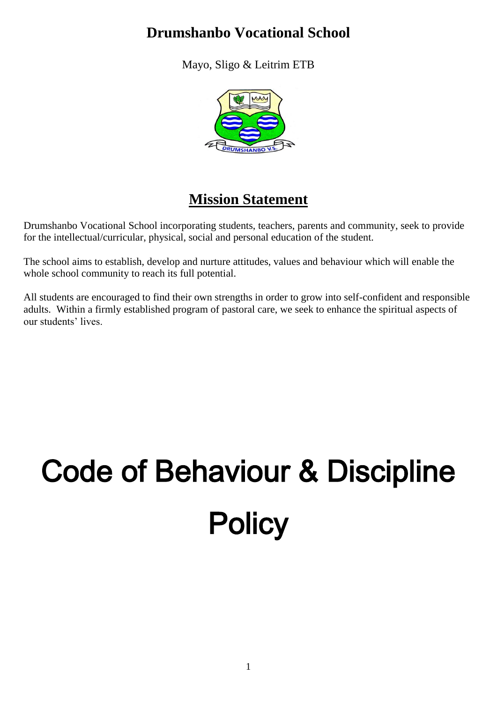# **Drumshanbo Vocational School**

Mayo, Sligo & Leitrim ETB



# **Mission Statement**

Drumshanbo Vocational School incorporating students, teachers, parents and community, seek to provide for the intellectual/curricular, physical, social and personal education of the student.

The school aims to establish, develop and nurture attitudes, values and behaviour which will enable the whole school community to reach its full potential.

All students are encouraged to find their own strengths in order to grow into self-confident and responsible adults. Within a firmly established program of pastoral care, we seek to enhance the spiritual aspects of our students' lives.

# Code of Behaviour & Discipline **Policy**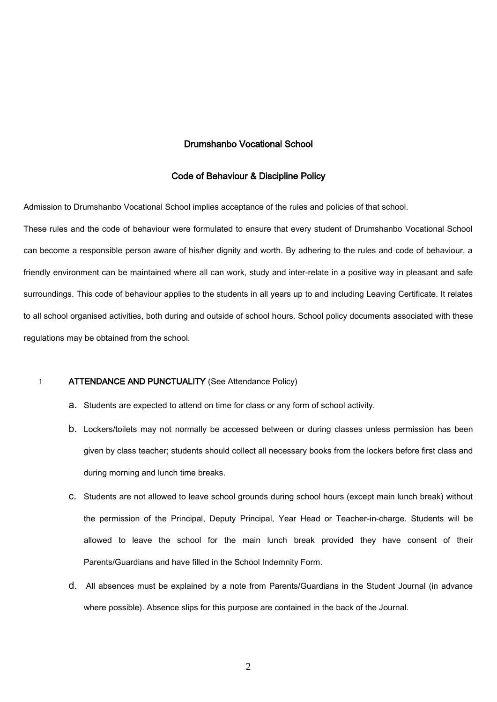# Drumshanbo Vocational School

#### Code of Behaviour & Discipline Policy

Admission to Drumshanbo Vocational School implies acceptance of the rules and policies of that school.

These rules and the code of behaviour were formulated to ensure that every student of Drumshanbo Vocational School can become a responsible person aware of his/her dignity and worth. By adhering to the rules and code of behaviour, a friendly environment can be maintained where all can work, study and inter-relate in a positive way in pleasant and safe surroundings. This code of behaviour applies to the students in all years up to and including Leaving Certificate. It relates to all school organised activities, both during and outside of school hours. School policy documents associated with these regulations may be obtained from the school.

#### 1 ATTENDANCE AND PUNCTUALITY (See Attendance Policy)

- a. Students are expected to attend on time for class or any form of school activity.
- b. Lockers/toilets may not normally be accessed between or during classes unless permission has been given by class teacher; students should collect all necessary books from the lockers before first class and during morning and lunch time breaks.
- c. Students are not allowed to leave school grounds during school hours (except main lunch break) without the permission of the Principal, Deputy Principal, Year Head or Teacher-in-charge. Students will be allowed to leave the school for the main lunch break provided they have consent of their Parents/Guardians and have filled in the School Indemnity Form.
- d. All absences must be explained by a note from Parents/Guardians in the Student Journal (in advance where possible). Absence slips for this purpose are contained in the back of the Journal.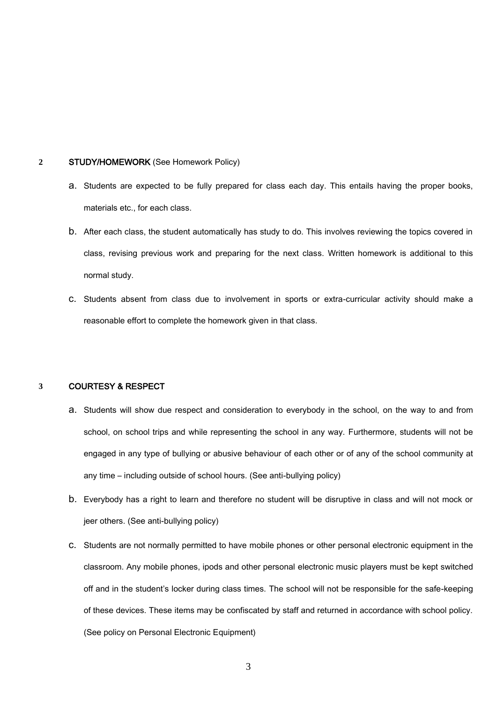# **2** STUDY/HOMEWORK (See Homework Policy)

- a. Students are expected to be fully prepared for class each day. This entails having the proper books, materials etc., for each class.
- b. After each class, the student automatically has study to do. This involves reviewing the topics covered in class, revising previous work and preparing for the next class. Written homework is additional to this normal study.
- c. Students absent from class due to involvement in sports or extra-curricular activity should make a reasonable effort to complete the homework given in that class.

#### **3** COURTESY & RESPECT

- a. Students will show due respect and consideration to everybody in the school, on the way to and from school, on school trips and while representing the school in any way. Furthermore, students will not be engaged in any type of bullying or abusive behaviour of each other or of any of the school community at any time – including outside of school hours. (See anti-bullying policy)
- b. Everybody has a right to learn and therefore no student will be disruptive in class and will not mock or jeer others. (See anti-bullying policy)
- c. Students are not normally permitted to have mobile phones or other personal electronic equipment in the classroom. Any mobile phones, ipods and other personal electronic music players must be kept switched off and in the student's locker during class times. The school will not be responsible for the safe-keeping of these devices. These items may be confiscated by staff and returned in accordance with school policy. (See policy on Personal Electronic Equipment)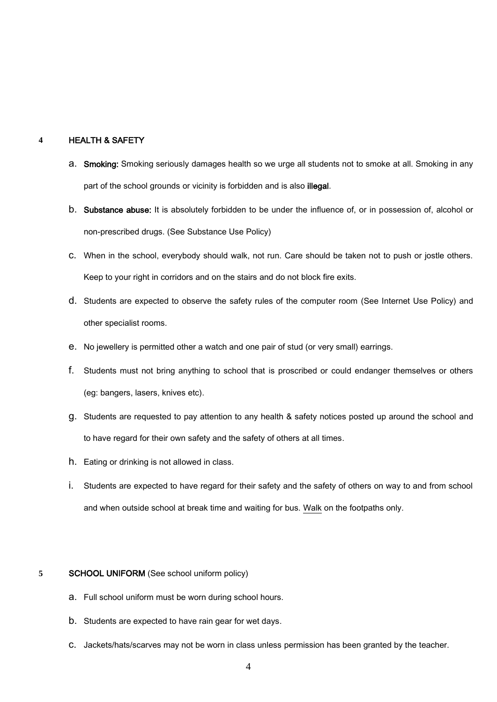# **4** HEALTH & SAFETY

- a. Smoking: Smoking seriously damages health so we urge all students not to smoke at all. Smoking in any part of the school grounds or vicinity is forbidden and is also illegal.
- b. Substance abuse: It is absolutely forbidden to be under the influence of, or in possession of, alcohol or non-prescribed drugs. (See Substance Use Policy)
- c. When in the school, everybody should walk, not run. Care should be taken not to push or jostle others. Keep to your right in corridors and on the stairs and do not block fire exits.
- d. Students are expected to observe the safety rules of the computer room (See Internet Use Policy) and other specialist rooms.
- e. No jewellery is permitted other a watch and one pair of stud (or very small) earrings.
- f. Students must not bring anything to school that is proscribed or could endanger themselves or others (eg: bangers, lasers, knives etc).
- g. Students are requested to pay attention to any health & safety notices posted up around the school and to have regard for their own safety and the safety of others at all times.
- h. Eating or drinking is not allowed in class.
- i. Students are expected to have regard for their safety and the safety of others on way to and from school and when outside school at break time and waiting for bus. Walk on the footpaths only.

#### **5** SCHOOL UNIFORM (See school uniform policy)

- a. Full school uniform must be worn during school hours.
- b. Students are expected to have rain gear for wet days.
- c. Jackets/hats/scarves may not be worn in class unless permission has been granted by the teacher.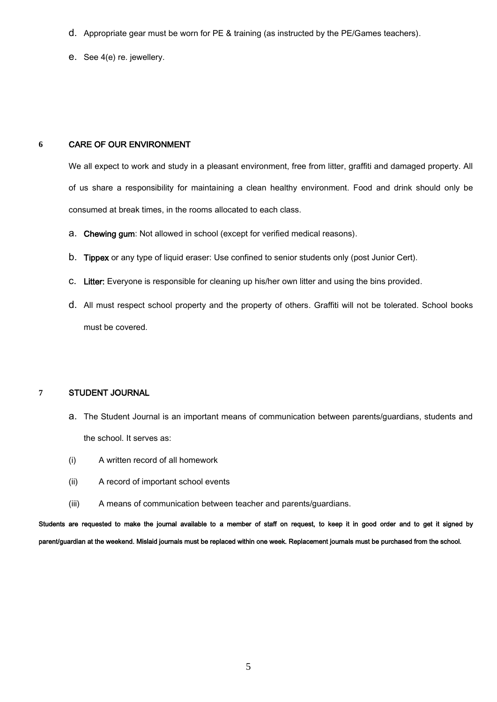- d. Appropriate gear must be worn for PE & training (as instructed by the PE/Games teachers).
- e. See 4(e) re. jewellery.

# **6** CARE OF OUR ENVIRONMENT

We all expect to work and study in a pleasant environment, free from litter, graffiti and damaged property. All of us share a responsibility for maintaining a clean healthy environment. Food and drink should only be consumed at break times, in the rooms allocated to each class.

- a. Chewing gum: Not allowed in school (except for verified medical reasons).
- b. Tippex or any type of liquid eraser: Use confined to senior students only (post Junior Cert).
- c. Litter: Everyone is responsible for cleaning up his/her own litter and using the bins provided.
- d. All must respect school property and the property of others. Graffiti will not be tolerated. School books must be covered.

# **7** STUDENT JOURNAL

- a. The Student Journal is an important means of communication between parents/guardians, students and the school. It serves as:
- (i) A written record of all homework
- (ii) A record of important school events
- (iii) A means of communication between teacher and parents/guardians.

Students are requested to make the journal available to a member of staff on request, to keep it in good order and to get it signed by parent/guardian at the weekend. Mislaid journals must be replaced within one week. Replacement journals must be purchased from the school.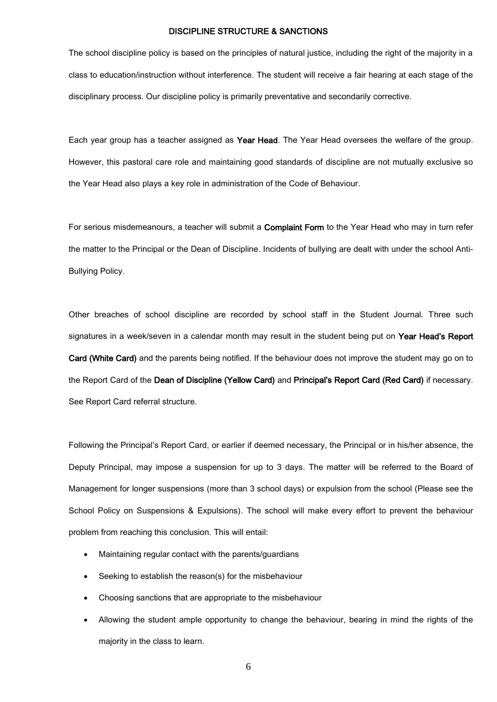## DISCIPLINE STRUCTURE & SANCTIONS

The school discipline policy is based on the principles of natural justice, including the right of the majority in a class to education/instruction without interference. The student will receive a fair hearing at each stage of the disciplinary process. Our discipline policy is primarily preventative and secondarily corrective.

Each year group has a teacher assigned as Year Head. The Year Head oversees the welfare of the group. However, this pastoral care role and maintaining good standards of discipline are not mutually exclusive so the Year Head also plays a key role in administration of the Code of Behaviour.

For serious misdemeanours, a teacher will submit a Complaint Form to the Year Head who may in turn refer the matter to the Principal or the Dean of Discipline. Incidents of bullying are dealt with under the school Anti-Bullying Policy.

Other breaches of school discipline are recorded by school staff in the Student Journal. Three such signatures in a week/seven in a calendar month may result in the student being put on Year Head's Report Card (White Card) and the parents being notified. If the behaviour does not improve the student may go on to the Report Card of the Dean of Discipline (Yellow Card) and Principal's Report Card (Red Card) if necessary. See Report Card referral structure.

Following the Principal's Report Card, or earlier if deemed necessary, the Principal or in his/her absence, the Deputy Principal, may impose a suspension for up to 3 days. The matter will be referred to the Board of Management for longer suspensions (more than 3 school days) or expulsion from the school (Please see the School Policy on Suspensions & Expulsions). The school will make every effort to prevent the behaviour problem from reaching this conclusion. This will entail:

- Maintaining regular contact with the parents/guardians
- Seeking to establish the reason(s) for the misbehaviour
- Choosing sanctions that are appropriate to the misbehaviour
- Allowing the student ample opportunity to change the behaviour, bearing in mind the rights of the majority in the class to learn.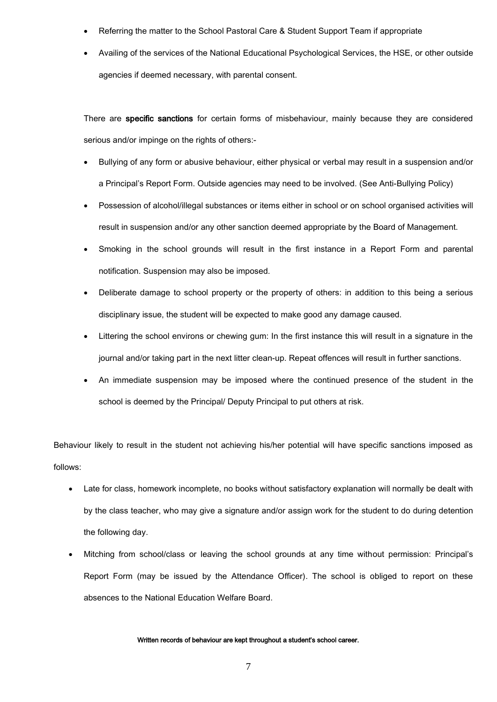- Referring the matter to the School Pastoral Care & Student Support Team if appropriate
- Availing of the services of the National Educational Psychological Services, the HSE, or other outside agencies if deemed necessary, with parental consent.

There are specific sanctions for certain forms of misbehaviour, mainly because they are considered serious and/or impinge on the rights of others:-

- Bullying of any form or abusive behaviour, either physical or verbal may result in a suspension and/or a Principal's Report Form. Outside agencies may need to be involved. (See Anti-Bullying Policy)
- Possession of alcohol/illegal substances or items either in school or on school organised activities will result in suspension and/or any other sanction deemed appropriate by the Board of Management.
- Smoking in the school grounds will result in the first instance in a Report Form and parental notification. Suspension may also be imposed.
- Deliberate damage to school property or the property of others: in addition to this being a serious disciplinary issue, the student will be expected to make good any damage caused.
- Littering the school environs or chewing gum: In the first instance this will result in a signature in the journal and/or taking part in the next litter clean-up. Repeat offences will result in further sanctions.
- An immediate suspension may be imposed where the continued presence of the student in the school is deemed by the Principal/ Deputy Principal to put others at risk.

Behaviour likely to result in the student not achieving his/her potential will have specific sanctions imposed as follows:

- Late for class, homework incomplete, no books without satisfactory explanation will normally be dealt with by the class teacher, who may give a signature and/or assign work for the student to do during detention the following day.
- Mitching from school/class or leaving the school grounds at any time without permission: Principal's Report Form (may be issued by the Attendance Officer). The school is obliged to report on these absences to the National Education Welfare Board.

#### Written records of behaviour are kept throughout a student's school career.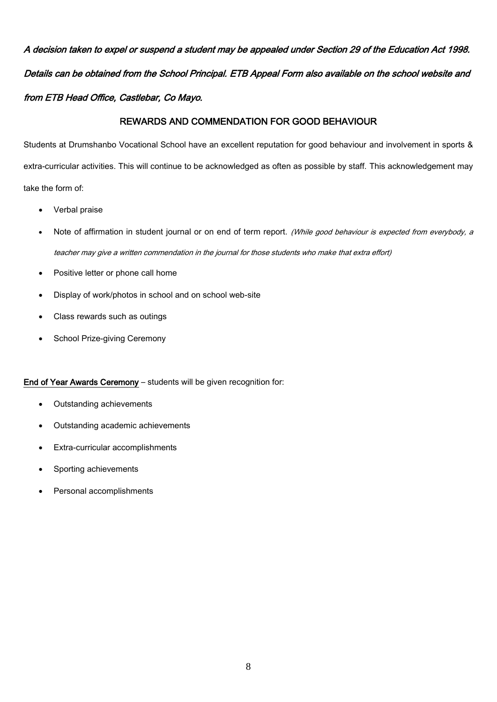A decision taken to expel or suspend a student may be appealed under Section 29 of the Education Act 1998. Details can be obtained from the School Principal. ETB Appeal Form also available on the school website and from ETB Head Office, Castlebar, Co Mayo.

# REWARDS AND COMMENDATION FOR GOOD BEHAVIOUR

Students at Drumshanbo Vocational School have an excellent reputation for good behaviour and involvement in sports & extra-curricular activities. This will continue to be acknowledged as often as possible by staff. This acknowledgement may take the form of:

- Verbal praise
- Note of affirmation in student journal or on end of term report. (While good behaviour is expected from everybody, a teacher may give a written commendation in the journal for those students who make that extra effort)
- Positive letter or phone call home
- Display of work/photos in school and on school web-site
- Class rewards such as outings
- School Prize-giving Ceremony

# End of Year Awards Ceremony – students will be given recognition for:

- Outstanding achievements
- Outstanding academic achievements
- Extra-curricular accomplishments
- Sporting achievements
- Personal accomplishments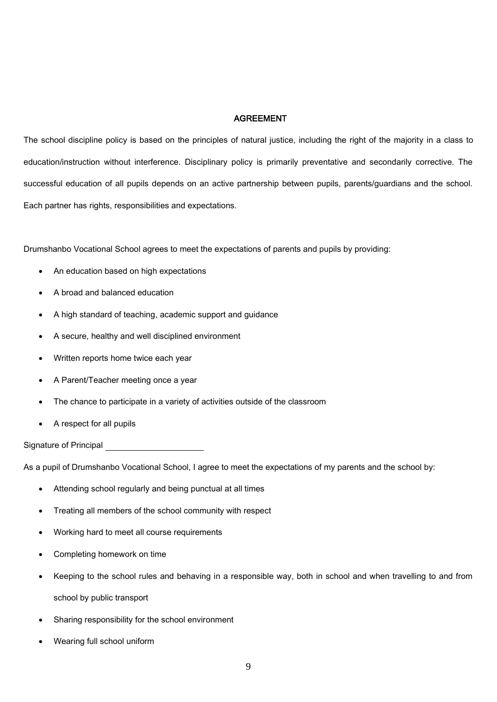# AGREEMENT

The school discipline policy is based on the principles of natural justice, including the right of the majority in a class to education/instruction without interference. Disciplinary policy is primarily preventative and secondarily corrective. The successful education of all pupils depends on an active partnership between pupils, parents/guardians and the school. Each partner has rights, responsibilities and expectations.

Drumshanbo Vocational School agrees to meet the expectations of parents and pupils by providing:

- An education based on high expectations
- A broad and balanced education
- A high standard of teaching, academic support and guidance
- A secure, healthy and well disciplined environment
- Written reports home twice each year
- A Parent/Teacher meeting once a year
- The chance to participate in a variety of activities outside of the classroom
- A respect for all pupils

Signature of Principal

As a pupil of Drumshanbo Vocational School, I agree to meet the expectations of my parents and the school by:

- Attending school regularly and being punctual at all times
- Treating all members of the school community with respect
- Working hard to meet all course requirements
- Completing homework on time
- Keeping to the school rules and behaving in a responsible way, both in school and when travelling to and from school by public transport
- Sharing responsibility for the school environment
- Wearing full school uniform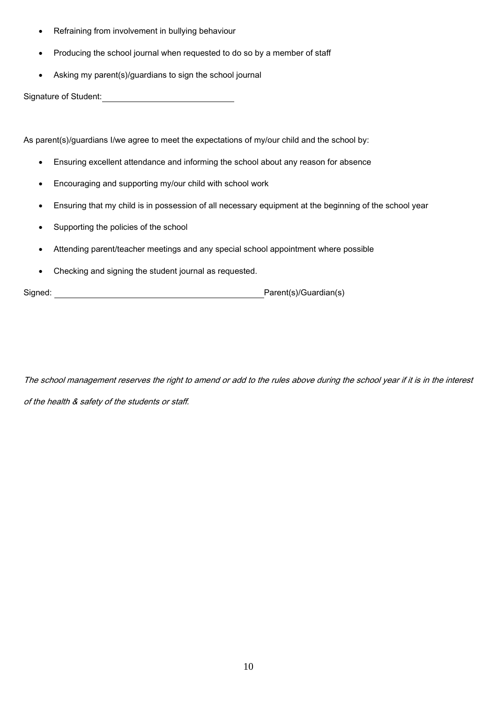- Refraining from involvement in bullying behaviour
- Producing the school journal when requested to do so by a member of staff
- Asking my parent(s)/guardians to sign the school journal

Signature of Student:<br>
Signature of Student:

As parent(s)/guardians I/we agree to meet the expectations of my/our child and the school by:

- Ensuring excellent attendance and informing the school about any reason for absence
- Encouraging and supporting my/our child with school work
- Ensuring that my child is in possession of all necessary equipment at the beginning of the school year
- Supporting the policies of the school
- Attending parent/teacher meetings and any special school appointment where possible
- Checking and signing the student journal as requested.

Signed: <u>New York: Parent(s)</u>/Guardian(s)

The school management reserves the right to amend or add to the rules above during the school year if it is in the interest of the health & safety of the students or staff.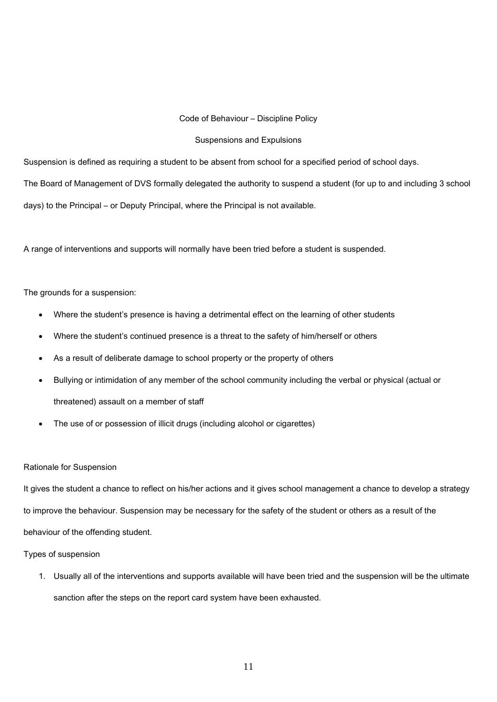#### Code of Behaviour – Discipline Policy

#### Suspensions and Expulsions

Suspension is defined as requiring a student to be absent from school for a specified period of school days.

The Board of Management of DVS formally delegated the authority to suspend a student (for up to and including 3 school days) to the Principal – or Deputy Principal, where the Principal is not available.

A range of interventions and supports will normally have been tried before a student is suspended.

The grounds for a suspension:

- Where the student's presence is having a detrimental effect on the learning of other students
- Where the student's continued presence is a threat to the safety of him/herself or others
- As a result of deliberate damage to school property or the property of others
- Bullying or intimidation of any member of the school community including the verbal or physical (actual or threatened) assault on a member of staff
- The use of or possession of illicit drugs (including alcohol or cigarettes)

#### Rationale for Suspension

It gives the student a chance to reflect on his/her actions and it gives school management a chance to develop a strategy to improve the behaviour. Suspension may be necessary for the safety of the student or others as a result of the behaviour of the offending student.

## Types of suspension

1. Usually all of the interventions and supports available will have been tried and the suspension will be the ultimate sanction after the steps on the report card system have been exhausted.